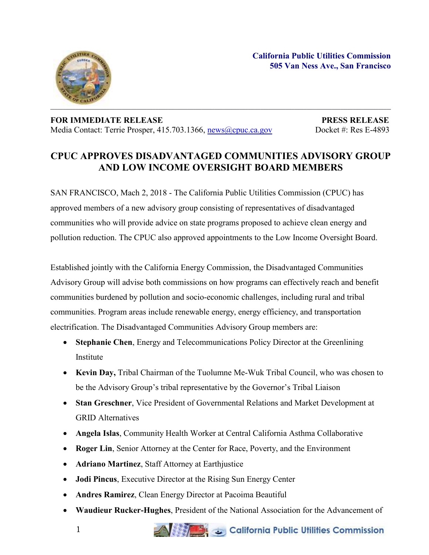**California Public Utilities Commission 505 Van Ness Ave., San Francisco**



**FOR IMMEDIATE RELEASE PRESS RELEASE** Media Contact: Terrie Prosper, 415.703.1366, [news@cpuc.ca.gov](mailto:news@cpuc.ca.gov) Docket #: Res E-4893

## **CPUC APPROVES DISADVANTAGED COMMUNITIES ADVISORY GROUP AND LOW INCOME OVERSIGHT BOARD MEMBERS**

SAN FRANCISCO, Mach 2, 2018 - The California Public Utilities Commission (CPUC) has approved members of a new advisory group consisting of representatives of disadvantaged communities who will provide advice on state programs proposed to achieve clean energy and pollution reduction. The CPUC also approved appointments to the Low Income Oversight Board.

Established jointly with the California Energy Commission, the Disadvantaged Communities Advisory Group will advise both commissions on how programs can effectively reach and benefit communities burdened by pollution and socio-economic challenges, including rural and tribal communities. Program areas include renewable energy, energy efficiency, and transportation electrification. The Disadvantaged Communities Advisory Group members are:

- **Stephanie Chen**, Energy and Telecommunications Policy Director at the Greenlining **Institute**
- **Kevin Day,** Tribal Chairman of the Tuolumne Me-Wuk Tribal Council, who was chosen to be the Advisory Group's tribal representative by the Governor's Tribal Liaison
- **Stan Greschner**, Vice President of Governmental Relations and Market Development at GRID Alternatives
- **Angela Islas**, Community Health Worker at Central California Asthma Collaborative
- **Roger Lin**, Senior Attorney at the Center for Race, Poverty, and the Environment
- **Adriano Martinez**, Staff Attorney at Earthjustice
- **Jodi Pincus**, Executive Director at the Rising Sun Energy Center
- **Andres Ramirez**, Clean Energy Director at Pacoima Beautiful
- **Waudieur Rucker-Hughes**, President of the National Association for the Advancement of

California Public Utilities Commission

1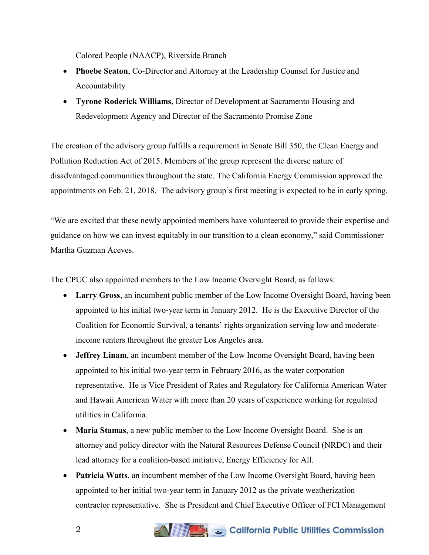Colored People (NAACP), Riverside Branch

- **Phoebe Seaton**, Co-Director and Attorney at the Leadership Counsel for Justice and Accountability
- **Tyrone Roderick Williams**, Director of Development at Sacramento Housing and Redevelopment Agency and Director of the Sacramento Promise Zone

The creation of the advisory group fulfills a requirement in Senate Bill 350, the Clean Energy and Pollution Reduction Act of 2015. Members of the group represent the diverse nature of disadvantaged communities throughout the state. The California Energy Commission approved the appointments on Feb. 21, 2018. The advisory group's first meeting is expected to be in early spring.

"We are excited that these newly appointed members have volunteered to provide their expertise and guidance on how we can invest equitably in our transition to a clean economy," said Commissioner Martha Guzman Aceves.

The CPUC also appointed members to the Low Income Oversight Board, as follows:

- **Larry Gross**, an incumbent public member of the Low Income Oversight Board, having been appointed to his initial two-year term in January 2012. He is the Executive Director of the Coalition for Economic Survival, a tenants' rights organization serving low and moderateincome renters throughout the greater Los Angeles area.
- **Jeffrey Linam**, an incumbent member of the Low Income Oversight Board, having been appointed to his initial two-year term in February 2016, as the water corporation representative. He is Vice President of Rates and Regulatory for California American Water and Hawaii American Water with more than 20 years of experience working for regulated utilities in California.
- **Maria Stamas**, a new public member to the Low Income Oversight Board. She is an attorney and policy director with the Natural Resources Defense Council (NRDC) and their lead attorney for a coalition-based initiative, Energy Efficiency for All.
- **Patricia Watts**, an incumbent member of the Low Income Oversight Board, having been appointed to her initial two-year term in January 2012 as the private weatherization contractor representative. She is President and Chief Executive Officer of FCI Management